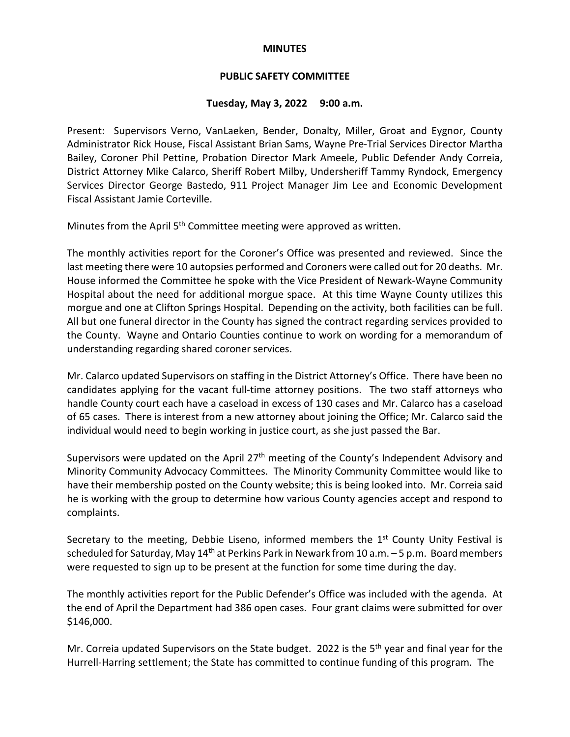### **MINUTES**

## **PUBLIC SAFETY COMMITTEE**

### **Tuesday, May 3, 2022 9:00 a.m.**

Present: Supervisors Verno, VanLaeken, Bender, Donalty, Miller, Groat and Eygnor, County Administrator Rick House, Fiscal Assistant Brian Sams, Wayne Pre-Trial Services Director Martha Bailey, Coroner Phil Pettine, Probation Director Mark Ameele, Public Defender Andy Correia, District Attorney Mike Calarco, Sheriff Robert Milby, Undersheriff Tammy Ryndock, Emergency Services Director George Bastedo, 911 Project Manager Jim Lee and Economic Development Fiscal Assistant Jamie Corteville.

Minutes from the April 5<sup>th</sup> Committee meeting were approved as written.

The monthly activities report for the Coroner's Office was presented and reviewed. Since the last meeting there were 10 autopsies performed and Coroners were called out for 20 deaths. Mr. House informed the Committee he spoke with the Vice President of Newark-Wayne Community Hospital about the need for additional morgue space. At this time Wayne County utilizes this morgue and one at Clifton Springs Hospital. Depending on the activity, both facilities can be full. All but one funeral director in the County has signed the contract regarding services provided to the County. Wayne and Ontario Counties continue to work on wording for a memorandum of understanding regarding shared coroner services.

Mr. Calarco updated Supervisors on staffing in the District Attorney's Office. There have been no candidates applying for the vacant full-time attorney positions. The two staff attorneys who handle County court each have a caseload in excess of 130 cases and Mr. Calarco has a caseload of 65 cases. There is interest from a new attorney about joining the Office; Mr. Calarco said the individual would need to begin working in justice court, as she just passed the Bar.

Supervisors were updated on the April 27<sup>th</sup> meeting of the County's Independent Advisory and Minority Community Advocacy Committees. The Minority Community Committee would like to have their membership posted on the County website; this is being looked into. Mr. Correia said he is working with the group to determine how various County agencies accept and respond to complaints.

Secretary to the meeting, Debbie Liseno, informed members the  $1<sup>st</sup>$  County Unity Festival is scheduled for Saturday, May  $14<sup>th</sup>$  at Perkins Park in Newark from 10 a.m. – 5 p.m. Board members were requested to sign up to be present at the function for some time during the day.

The monthly activities report for the Public Defender's Office was included with the agenda. At the end of April the Department had 386 open cases. Four grant claims were submitted for over \$146,000.

Mr. Correia updated Supervisors on the State budget. 2022 is the  $5<sup>th</sup>$  year and final year for the Hurrell-Harring settlement; the State has committed to continue funding of this program. The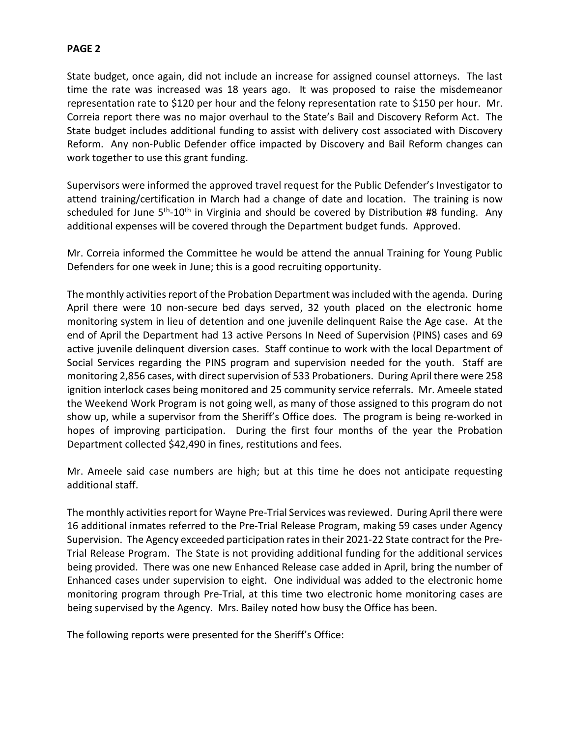# **PAGE 2**

State budget, once again, did not include an increase for assigned counsel attorneys. The last time the rate was increased was 18 years ago. It was proposed to raise the misdemeanor representation rate to \$120 per hour and the felony representation rate to \$150 per hour. Mr. Correia report there was no major overhaul to the State's Bail and Discovery Reform Act. The State budget includes additional funding to assist with delivery cost associated with Discovery Reform. Any non-Public Defender office impacted by Discovery and Bail Reform changes can work together to use this grant funding.

Supervisors were informed the approved travel request for the Public Defender's Investigator to attend training/certification in March had a change of date and location. The training is now scheduled for June  $5<sup>th</sup> - 10<sup>th</sup>$  in Virginia and should be covered by Distribution #8 funding. Any additional expenses will be covered through the Department budget funds. Approved.

Mr. Correia informed the Committee he would be attend the annual Training for Young Public Defenders for one week in June; this is a good recruiting opportunity.

The monthly activities report of the Probation Department was included with the agenda. During April there were 10 non-secure bed days served, 32 youth placed on the electronic home monitoring system in lieu of detention and one juvenile delinquent Raise the Age case. At the end of April the Department had 13 active Persons In Need of Supervision (PINS) cases and 69 active juvenile delinquent diversion cases. Staff continue to work with the local Department of Social Services regarding the PINS program and supervision needed for the youth. Staff are monitoring 2,856 cases, with direct supervision of 533 Probationers. During April there were 258 ignition interlock cases being monitored and 25 community service referrals. Mr. Ameele stated the Weekend Work Program is not going well, as many of those assigned to this program do not show up, while a supervisor from the Sheriff's Office does. The program is being re-worked in hopes of improving participation. During the first four months of the year the Probation Department collected \$42,490 in fines, restitutions and fees.

Mr. Ameele said case numbers are high; but at this time he does not anticipate requesting additional staff.

The monthly activities report for Wayne Pre-Trial Services was reviewed. During April there were 16 additional inmates referred to the Pre-Trial Release Program, making 59 cases under Agency Supervision. The Agency exceeded participation rates in their 2021-22 State contract for the Pre-Trial Release Program. The State is not providing additional funding for the additional services being provided. There was one new Enhanced Release case added in April, bring the number of Enhanced cases under supervision to eight. One individual was added to the electronic home monitoring program through Pre-Trial, at this time two electronic home monitoring cases are being supervised by the Agency. Mrs. Bailey noted how busy the Office has been.

The following reports were presented for the Sheriff's Office: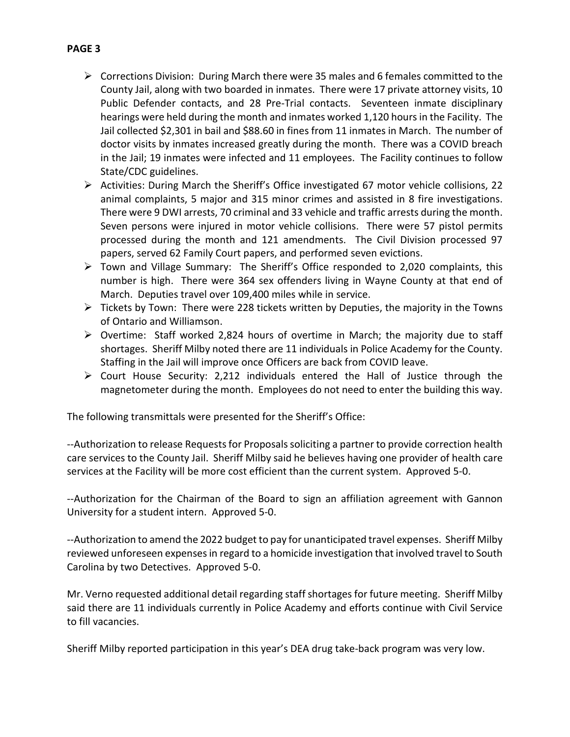- $\triangleright$  Corrections Division: During March there were 35 males and 6 females committed to the County Jail, along with two boarded in inmates. There were 17 private attorney visits, 10 Public Defender contacts, and 28 Pre-Trial contacts. Seventeen inmate disciplinary hearings were held during the month and inmates worked 1,120 hours in the Facility. The Jail collected \$2,301 in bail and \$88.60 in fines from 11 inmates in March. The number of doctor visits by inmates increased greatly during the month. There was a COVID breach in the Jail; 19 inmates were infected and 11 employees. The Facility continues to follow State/CDC guidelines.
- $\triangleright$  Activities: During March the Sheriff's Office investigated 67 motor vehicle collisions, 22 animal complaints, 5 major and 315 minor crimes and assisted in 8 fire investigations. There were 9 DWI arrests, 70 criminal and 33 vehicle and traffic arrests during the month. Seven persons were injured in motor vehicle collisions. There were 57 pistol permits processed during the month and 121 amendments. The Civil Division processed 97 papers, served 62 Family Court papers, and performed seven evictions.
- $\triangleright$  Town and Village Summary: The Sheriff's Office responded to 2,020 complaints, this number is high. There were 364 sex offenders living in Wayne County at that end of March. Deputies travel over 109,400 miles while in service.
- $\triangleright$  Tickets by Town: There were 228 tickets written by Deputies, the majority in the Towns of Ontario and Williamson.
- $\triangleright$  Overtime: Staff worked 2,824 hours of overtime in March; the majority due to staff shortages. Sheriff Milby noted there are 11 individuals in Police Academy for the County. Staffing in the Jail will improve once Officers are back from COVID leave.
- $\triangleright$  Court House Security: 2,212 individuals entered the Hall of Justice through the magnetometer during the month. Employees do not need to enter the building this way.

The following transmittals were presented for the Sheriff's Office:

--Authorization to release Requests for Proposals soliciting a partner to provide correction health care services to the County Jail. Sheriff Milby said he believes having one provider of health care services at the Facility will be more cost efficient than the current system. Approved 5-0.

--Authorization for the Chairman of the Board to sign an affiliation agreement with Gannon University for a student intern. Approved 5-0.

--Authorization to amend the 2022 budget to pay for unanticipated travel expenses. Sheriff Milby reviewed unforeseen expenses in regard to a homicide investigation that involved travel to South Carolina by two Detectives. Approved 5-0.

Mr. Verno requested additional detail regarding staff shortages for future meeting. Sheriff Milby said there are 11 individuals currently in Police Academy and efforts continue with Civil Service to fill vacancies.

Sheriff Milby reported participation in this year's DEA drug take-back program was very low.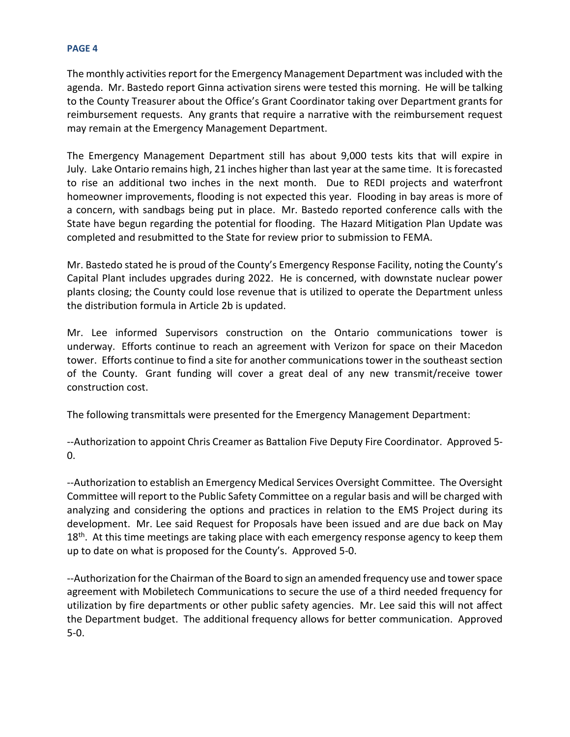#### **PAGE 4**

The monthly activities report for the Emergency Management Department was included with the agenda. Mr. Bastedo report Ginna activation sirens were tested this morning. He will be talking to the County Treasurer about the Office's Grant Coordinator taking over Department grants for reimbursement requests. Any grants that require a narrative with the reimbursement request may remain at the Emergency Management Department.

The Emergency Management Department still has about 9,000 tests kits that will expire in July. Lake Ontario remains high, 21 inches higher than last year at the same time. It is forecasted to rise an additional two inches in the next month. Due to REDI projects and waterfront homeowner improvements, flooding is not expected this year. Flooding in bay areas is more of a concern, with sandbags being put in place. Mr. Bastedo reported conference calls with the State have begun regarding the potential for flooding. The Hazard Mitigation Plan Update was completed and resubmitted to the State for review prior to submission to FEMA.

Mr. Bastedo stated he is proud of the County's Emergency Response Facility, noting the County's Capital Plant includes upgrades during 2022. He is concerned, with downstate nuclear power plants closing; the County could lose revenue that is utilized to operate the Department unless the distribution formula in Article 2b is updated.

Mr. Lee informed Supervisors construction on the Ontario communications tower is underway. Efforts continue to reach an agreement with Verizon for space on their Macedon tower. Efforts continue to find a site for another communications tower in the southeast section of the County. Grant funding will cover a great deal of any new transmit/receive tower construction cost.

The following transmittals were presented for the Emergency Management Department:

--Authorization to appoint Chris Creamer as Battalion Five Deputy Fire Coordinator. Approved 5- 0.

--Authorization to establish an Emergency Medical Services Oversight Committee. The Oversight Committee will report to the Public Safety Committee on a regular basis and will be charged with analyzing and considering the options and practices in relation to the EMS Project during its development. Mr. Lee said Request for Proposals have been issued and are due back on May  $18<sup>th</sup>$ . At this time meetings are taking place with each emergency response agency to keep them up to date on what is proposed for the County's. Approved 5-0.

--Authorization for the Chairman of the Board to sign an amended frequency use and tower space agreement with Mobiletech Communications to secure the use of a third needed frequency for utilization by fire departments or other public safety agencies. Mr. Lee said this will not affect the Department budget. The additional frequency allows for better communication. Approved 5-0.